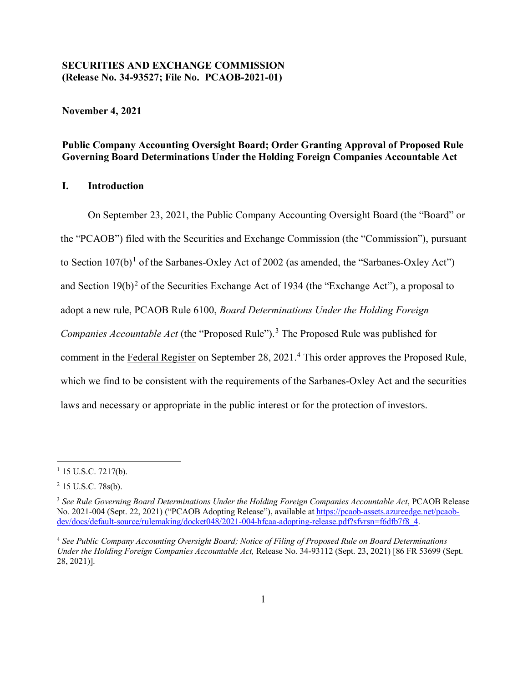## **SECURITIES AND EXCHANGE COMMISSION (Release No. 34-93527; File No. PCAOB-2021-01)**

**November 4, 2021**

# **Public Company Accounting Oversight Board; Order Granting Approval of Proposed Rule Governing Board Determinations Under the Holding Foreign Companies Accountable Act**

## **I. Introduction**

<span id="page-0-4"></span>On September 23, 2021, the Public Company Accounting Oversight Board (the "Board" or the "PCAOB") filed with the Securities and Exchange Commission (the "Commission"), pursuant to Section  $107(b)$  $107(b)$ <sup>1</sup> of the Sarbanes-Oxley Act of 2002 (as amended, the "Sarbanes-Oxley Act") and Section  $19(b)^2$  $19(b)^2$  of the Securities Exchange Act of 1934 (the "Exchange Act"), a proposal to adopt a new rule, PCAOB Rule 6100, *Board Determinations Under the Holding Foreign Companies Accountable Act* (the "Proposed Rule").<sup>[3](#page-0-2)</sup> The Proposed Rule was published for comment in the Federal Register on September 28, 2021.<sup>[4](#page-0-3)</sup> This order approves the Proposed Rule, which we find to be consistent with the requirements of the Sarbanes-Oxley Act and the securities laws and necessary or appropriate in the public interest or for the protection of investors.

 $\overline{\phantom{a}}$ 

<span id="page-0-0"></span> $1$  15 U.S.C. 7217(b).

<span id="page-0-1"></span> $2$  15 U.S.C. 78s(b).

<span id="page-0-2"></span><sup>3</sup> *See Rule Governing Board Determinations Under the Holding Foreign Companies Accountable Act*, PCAOB Release No. 2021-004 (Sept. 22, 2021) ("PCAOB Adopting Release"), available at [https://pcaob-assets.azureedge.net/pcaob](https://pcaob-assets.azureedge.net/pcaob-dev/docs/default-source/rulemaking/docket048/2021-004-hfcaa-adopting-release.pdf?sfvrsn=f6dfb7f8_4)[dev/docs/default-source/rulemaking/docket048/2021-004-hfcaa-adopting-release.pdf?sfvrsn=f6dfb7f8\\_4.](https://pcaob-assets.azureedge.net/pcaob-dev/docs/default-source/rulemaking/docket048/2021-004-hfcaa-adopting-release.pdf?sfvrsn=f6dfb7f8_4)

<span id="page-0-3"></span><sup>4</sup> *See Public Company Accounting Oversight Board; Notice of Filing of Proposed Rule on Board Determinations Under the Holding Foreign Companies Accountable Act,* Release No. 34-93112 (Sept. 23, 2021) [86 FR 53699 (Sept. 28, 2021)].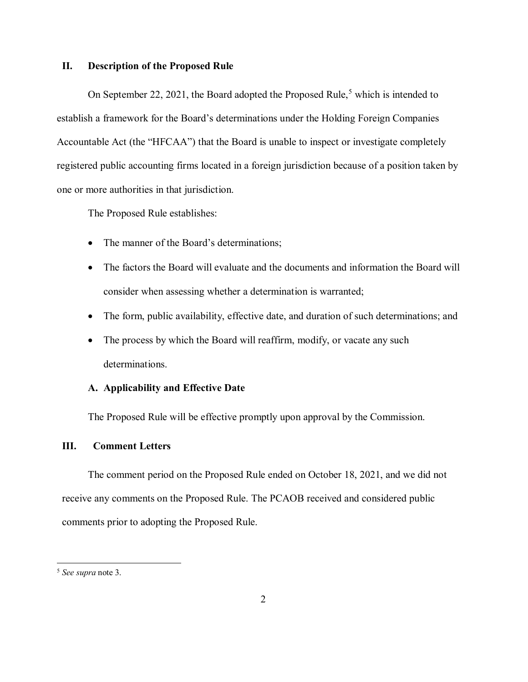### **II. Description of the Proposed Rule**

On September 22, 2021, the Board adopted the Proposed Rule,<sup>[5](#page-1-0)</sup> which is intended to establish a framework for the Board's determinations under the Holding Foreign Companies Accountable Act (the "HFCAA") that the Board is unable to inspect or investigate completely registered public accounting firms located in a foreign jurisdiction because of a position taken by one or more authorities in that jurisdiction.

The Proposed Rule establishes:

- The manner of the Board's determinations:
- The factors the Board will evaluate and the documents and information the Board will consider when assessing whether a determination is warranted;
- The form, public availability, effective date, and duration of such determinations; and
- The process by which the Board will reaffirm, modify, or vacate any such determinations.

### **A. Applicability and Effective Date**

The Proposed Rule will be effective promptly upon approval by the Commission.

# **III. Comment Letters**

The comment period on the Proposed Rule ended on October 18, 2021, and we did not receive any comments on the Proposed Rule. The PCAOB received and considered public comments prior to adopting the Proposed Rule.

l

<span id="page-1-0"></span><sup>5</sup> *See supra* note [3.](#page-0-4)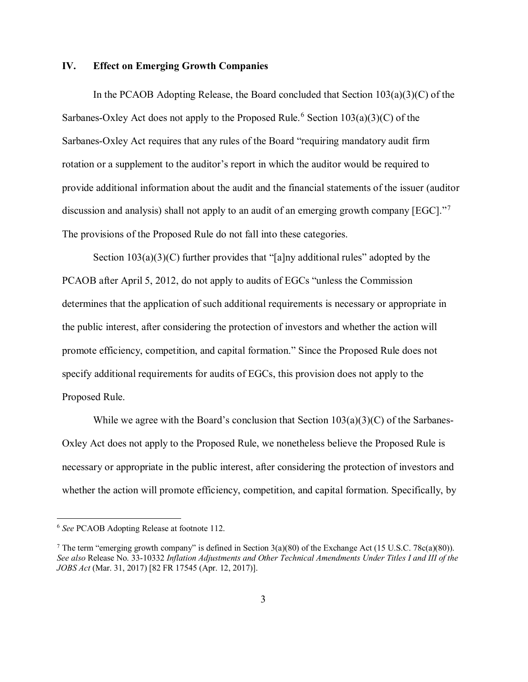### **IV. Effect on Emerging Growth Companies**

In the PCAOB Adopting Release, the Board concluded that Section  $103(a)(3)(C)$  of the Sarbanes-Oxley Act does not apply to the Proposed Rule.<sup>[6](#page-2-0)</sup> Section  $103(a)(3)(C)$  of the Sarbanes-Oxley Act requires that any rules of the Board "requiring mandatory audit firm rotation or a supplement to the auditor's report in which the auditor would be required to provide additional information about the audit and the financial statements of the issuer (auditor discussion and analysis) shall not apply to an audit of an emerging growth company [EGC]."[7](#page-2-1) The provisions of the Proposed Rule do not fall into these categories.

Section  $103(a)(3)(C)$  further provides that "[a]ny additional rules" adopted by the PCAOB after April 5, 2012, do not apply to audits of EGCs "unless the Commission determines that the application of such additional requirements is necessary or appropriate in the public interest, after considering the protection of investors and whether the action will promote efficiency, competition, and capital formation." Since the Proposed Rule does not specify additional requirements for audits of EGCs, this provision does not apply to the Proposed Rule.

While we agree with the Board's conclusion that Section  $103(a)(3)(C)$  of the Sarbanes-Oxley Act does not apply to the Proposed Rule, we nonetheless believe the Proposed Rule is necessary or appropriate in the public interest, after considering the protection of investors and whether the action will promote efficiency, competition, and capital formation. Specifically, by

 $\overline{\phantom{a}}$ 

<span id="page-2-0"></span><sup>6</sup> *See* PCAOB Adopting Release at footnote 112.

<span id="page-2-1"></span><sup>&</sup>lt;sup>7</sup> The term "emerging growth company" is defined in Section  $3(a)(80)$  of the Exchange Act (15 U.S.C. 78c(a)(80)). *See also* Release No. 33-10332 *Inflation Adjustments and Other Technical Amendments Under Titles I and III of the JOBS Act* (Mar. 31, 2017) [82 FR 17545 (Apr. 12, 2017)].